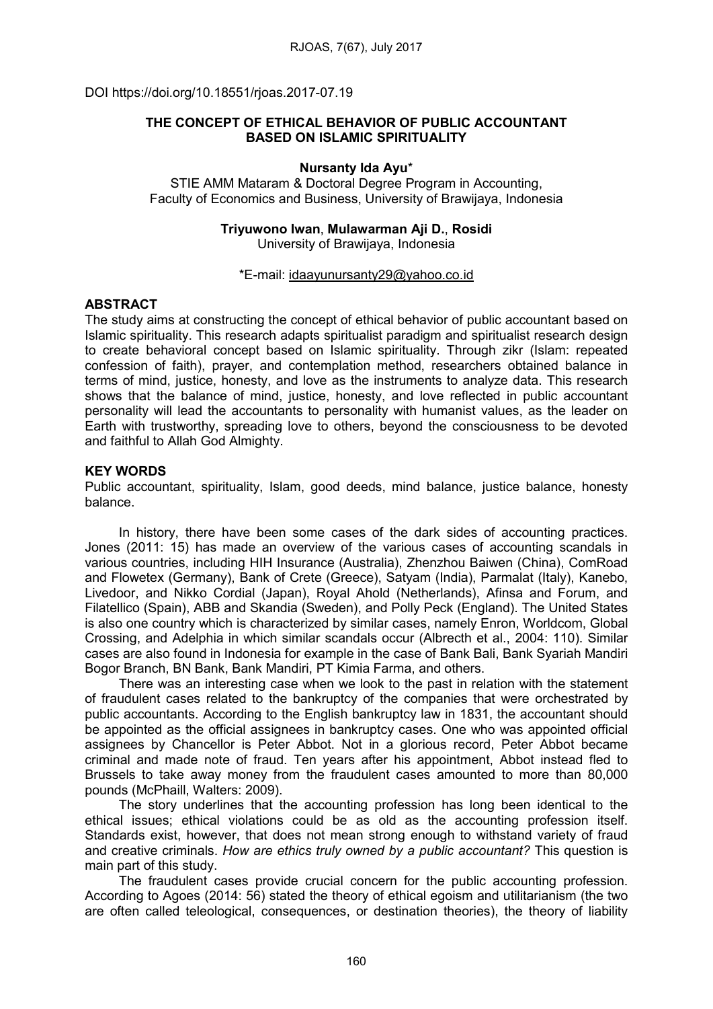DOI https://doi.org/10.18551/rjoas.2017-07.19

# THE CONCEPT OF ETHICAL BEHAVIOR OF PUBLIC ACCOUNTANT BASED ON ISLAMIC SPIRITUALITY

#### Nursanty Ida Ayu\*

STIE AMM Mataram & Doctoral Degree Program in Accounting, Faculty of Economics and Business, University of Brawijaya, Indonesia

#### Triyuwono Iwan, Mulawarman Aji D., Rosidi University of Brawijaya, Indonesia

#### \*E-mail: [idaayunursanty29@yahoo.co.id](mailto:idaayunursanty29@yahoo.co.id)

### ABSTRACT

The study aims at constructing the concept of ethical behavior of public accountant based on Islamic spirituality. This research adapts spiritualist paradigm and spiritualist research design to create behavioral concept based on Islamic spirituality. Through zikr (Islam: repeated confession of faith), prayer, and contemplation method, researchers obtained balance in terms of mind, justice, honesty, and love as the instruments to analyze data. This research shows that the balance of mind, justice, honesty, and love reflected in public accountant personality will lead the accountants to personality with humanist values, as the leader on Earth with trustworthy, spreading love to others, beyond the consciousness to be devoted and faithful to Allah God Almighty.

### KEY WORDS

Public accountant, spirituality, Islam, good deeds, mind balance, justice balance, honesty balance.

In history, there have been some cases of the dark sides of accounting practices. Jones (2011: 15) has made an overview of the various cases of accounting scandals in various countries, including HIH Insurance (Australia), Zhenzhou Baiwen (China), ComRoad and Flowetex (Germany), Bank of Crete (Greece), Satyam (India), Parmalat (Italy), Kanebo, Livedoor, and Nikko Cordial (Japan), Royal Ahold (Netherlands), Afinsa and Forum, and Filatellico (Spain), ABB and Skandia (Sweden), and Polly Peck (England). The United States is also one country which is characterized by similar cases, namely Enron, Worldcom, Global Crossing, and Adelphia in which similar scandals occur (Albrecth et al., 2004: 110). Similar cases are also found in Indonesia for example in the case of Bank Bali, Bank Syariah Mandiri Bogor Branch, BN Bank, Bank Mandiri, PT Kimia Farma, and others.

There was an interesting case when we look to the past in relation with the statement of fraudulent cases related to the bankruptcy of the companies that were orchestrated by public accountants. According to the English bankruptcy law in 1831, the accountant should be appointed as the official assignees in bankruptcy cases. One who was appointed official assignees by Chancellor is Peter Abbot. Not in a glorious record, Peter Abbot became criminal and made note of fraud. Ten years after his appointment, Abbot instead fled to Brussels to take away money from the fraudulent cases amounted to more than 80,000 pounds (McPhaill, Walters: 2009).

The story underlines that the accounting profession has long been identical to the ethical issues; ethical violations could be as old as the accounting profession itself. Standards exist, however, that does not mean strong enough to withstand variety of fraud and creative criminals. *How are ethics truly owned by a public accountant?* This question is main part of this study.

The fraudulent cases provide crucial concern for the public accounting profession. According to Agoes (2014: 56) stated the theory of ethical egoism and utilitarianism (the two are often called teleological, consequences, or destination theories), the theory of liability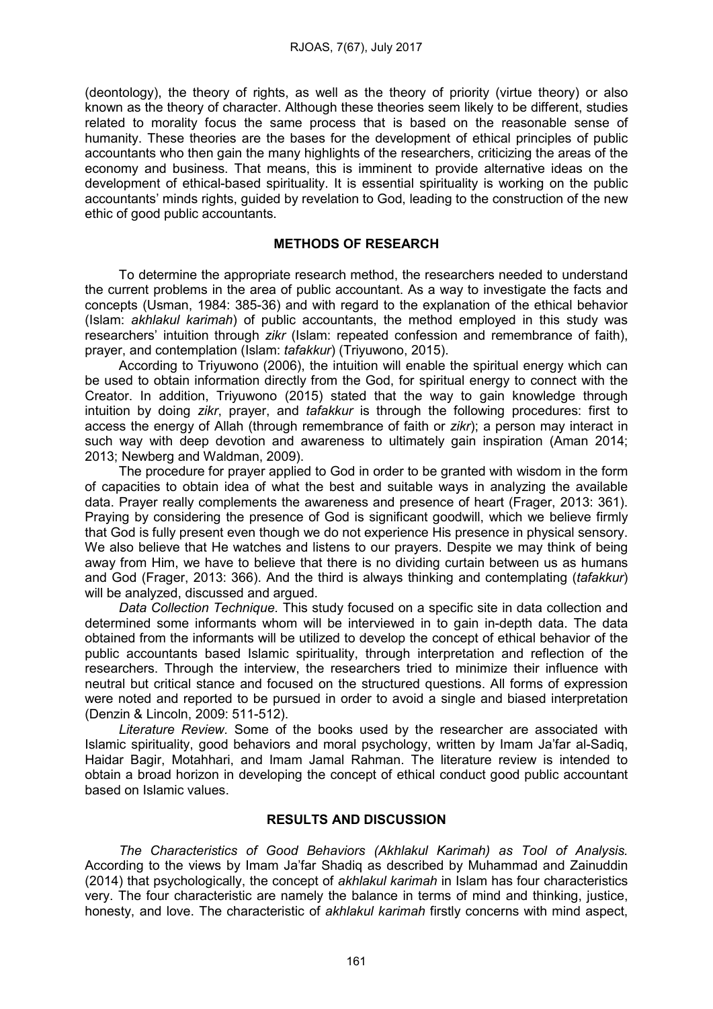(deontology), the theory of rights, as well as the theory of priority (virtue theory) or also known as the theory of character. Although these theories seem likely to be different, studies related to morality focus the same process that is based on the reasonable sense of humanity. These theories are the bases for the development of ethical principles of public accountants who then gain the many highlights of the researchers, criticizing the areas of the economy and business. That means, this is imminent to provide alternative ideas on the development of ethical-based spirituality. It is essential spirituality is working on the public accountants' minds rights, guided by revelation to God, leading to the construction of the new ethic of good public accountants.

### METHODS OF RESEARCH

To determine the appropriate research method, the researchers needed to understand the current problems in the area of public accountant. As a way to investigate the facts and concepts (Usman, 1984: 385-36) and with regard to the explanation of the ethical behavior (Islam: *akhlakul karimah*) of public accountants, the method employed in this study was researchers' intuition through *zikr* (Islam: repeated confession and remembrance of faith), prayer, and contemplation (Islam: *tafakkur*) (Triyuwono, 2015).

According to Triyuwono (2006), the intuition will enable the spiritual energy which can be used to obtain information directly from the God, for spiritual energy to connect with the Creator. In addition, Triyuwono (2015) stated that the way to gain knowledge through intuition by doing *zikr*, prayer, and *tafakkur* is through the following procedures: first to access the energy of Allah (through remembrance of faith or *zikr*); a person may interact in such way with deep devotion and awareness to ultimately gain inspiration (Aman 2014; 2013; Newberg and Waldman, 2009).

The procedure for prayer applied to God in order to be granted with wisdom in the form of capacities to obtain idea of what the best and suitable ways in analyzing the available data. Prayer really complements the awareness and presence of heart (Frager, 2013: 361). Praying by considering the presence of God is significant goodwill, which we believe firmly that God is fully present even though we do not experience His presence in physical sensory. We also believe that He watches and listens to our prayers. Despite we may think of being away from Him, we have to believe that there is no dividing curtain between us as humans and God (Frager, 2013: 366). And the third is always thinking and contemplating (*tafakkur*) will be analyzed, discussed and argued.

*Data Collection Technique.* This study focused on a specific site in data collection and determined some informants whom will be interviewed in to gain in-depth data. The data obtained from the informants will be utilized to develop the concept of ethical behavior of the public accountants based Islamic spirituality, through interpretation and reflection of the researchers. Through the interview, the researchers tried to minimize their influence with neutral but critical stance and focused on the structured questions. All forms of expression were noted and reported to be pursued in order to avoid a single and biased interpretation (Denzin & Lincoln, 2009: 511-512).

*Literature Review.* Some of the books used by the researcher are associated with Islamic spirituality, good behaviors and moral psychology, written by Imam Ja'far al-Sadiq, Haidar Bagir, Motahhari, and Imam Jamal Rahman. The literature review is intended to obtain a broad horizon in developing the concept of ethical conduct good public accountant based on Islamic values.

# RESULTS AND DISCUSSION

*The Characteristics of Good Behaviors (Akhlakul Karimah) as Tool of Analysis.*  According to the views by Imam Ja'far Shadiq as described by Muhammad and Zainuddin (2014) that psychologically, the concept of *akhlakul karimah* in Islam has four characteristics very. The four characteristic are namely the balance in terms of mind and thinking, justice, honesty, and love. The characteristic of *akhlakul karimah* firstly concerns with mind aspect,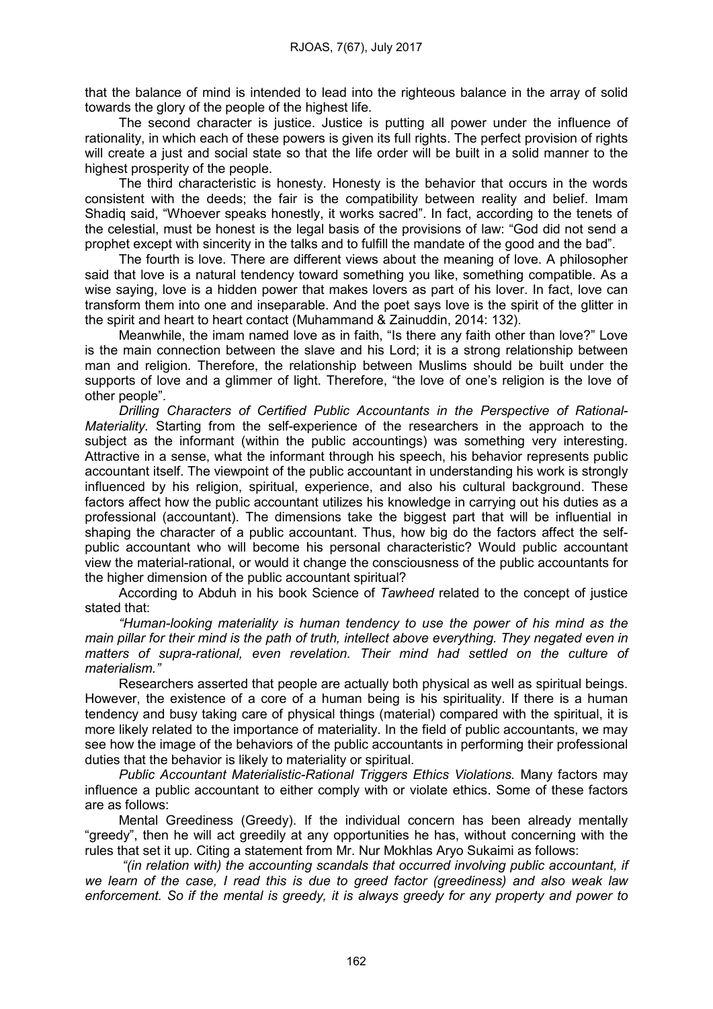that the balance of mind is intended to lead into the righteous balance in the array of solid towards the glory of the people of the highest life.

The second character is justice. Justice is putting all power under the influence of rationality, in which each of these powers is given its full rights. The perfect provision of rights will create a just and social state so that the life order will be built in a solid manner to the highest prosperity of the people.

The third characteristic is honesty. Honesty is the behavior that occurs in the words consistent with the deeds; the fair is the compatibility between reality and belief. Imam Shadiq said, "Whoever speaks honestly, it works sacred". In fact, according to the tenets of the celestial, must be honest is the legal basis of the provisions of law: "God did not send a prophet except with sincerity in the talks and to fulfill the mandate of the good and the bad".

The fourth is love. There are different views about the meaning of love. A philosopher said that love is a natural tendency toward something you like, something compatible. As a wise saying, love is a hidden power that makes lovers as part of his lover. In fact, love can transform them into one and inseparable. And the poet says love is the spirit of the glitter in the spirit and heart to heart contact (Muhammand & Zainuddin, 2014: 132).

Meanwhile, the imam named love as in faith, "Is there any faith other than love?" Love is the main connection between the slave and his Lord; it is a strong relationship between man and religion. Therefore, the relationship between Muslims should be built under the supports of love and a glimmer of light. Therefore, "the love of one's religion is the love of other people".

*Drilling Characters of Certified Public Accountants in the Perspective of Rational-Materiality.* Starting from the self-experience of the researchers in the approach to the subject as the informant (within the public accountings) was something very interesting. Attractive in a sense, what the informant through his speech, his behavior represents public accountant itself. The viewpoint of the public accountant in understanding his work is strongly influenced by his religion, spiritual, experience, and also his cultural background. These factors affect how the public accountant utilizes his knowledge in carrying out his duties as a professional (accountant). The dimensions take the biggest part that will be influential in shaping the character of a public accountant. Thus, how big do the factors affect the selfpublic accountant who will become his personal characteristic? Would public accountant view the material-rational, or would it change the consciousness of the public accountants for the higher dimension of the public accountant spiritual?

According to Abduh in his book Science of *Tawheed* related to the concept of justice stated that:

*"Human-looking materiality is human tendency to use the power of his mind as the main pillar for their mind is the path of truth, intellect above everything. They negated even in matters of supra-rational, even revelation. Their mind had settled on the culture of materialism."*

Researchers asserted that people are actually both physical as well as spiritual beings. However, the existence of a core of a human being is his spirituality. If there is a human tendency and busy taking care of physical things (material) compared with the spiritual, it is more likely related to the importance of materiality. In the field of public accountants, we may see how the image of the behaviors of the public accountants in performing their professional duties that the behavior is likely to materiality or spiritual.

*Public Accountant Materialistic-Rational Triggers Ethics Violations.* Many factors may influence a public accountant to either comply with or violate ethics. Some of these factors are as follows:

Mental Greediness (Greedy). If the individual concern has been already mentally "greedy", then he will act greedily at any opportunities he has, without concerning with the rules that set it up. Citing a statement from Mr. Nur Mokhlas Aryo Sukaimi as follows:

*"(in relation with) the accounting scandals that occurred involving public accountant, if we learn of the case, I read this is due to greed factor (greediness) and also weak law enforcement. So if the mental is greedy, it is always greedy for any property and power to*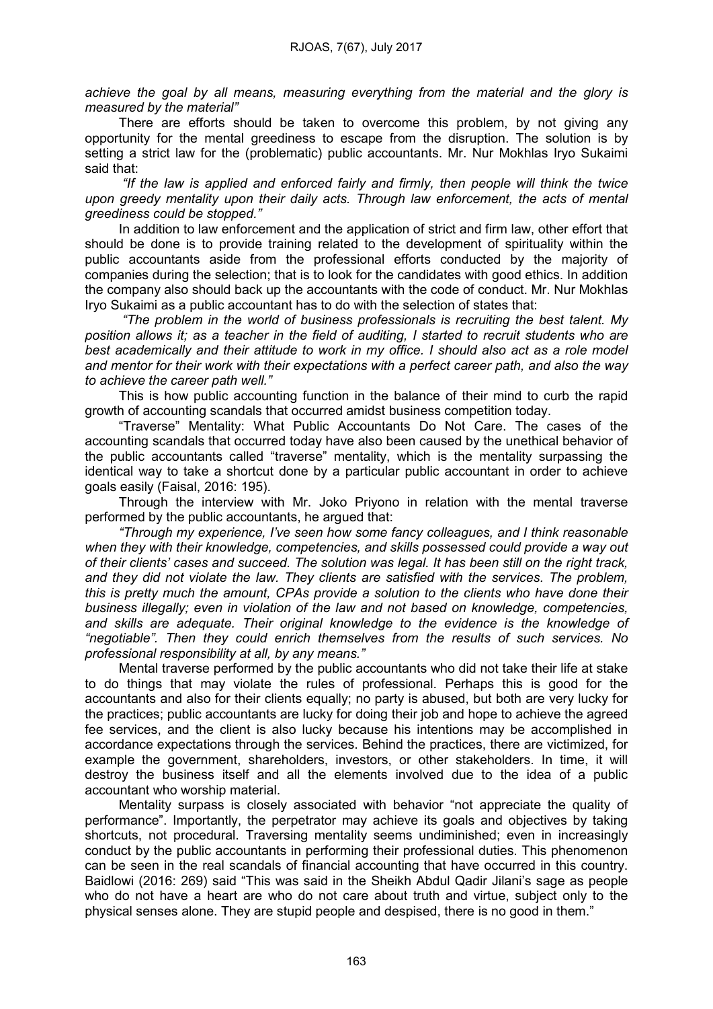*achieve the goal by all means, measuring everything from the material and the glory is measured by the material"*

There are efforts should be taken to overcome this problem, by not giving any opportunity for the mental greediness to escape from the disruption. The solution is by setting a strict law for the (problematic) public accountants. Mr. Nur Mokhlas Iryo Sukaimi said that:

*"If the law is applied and enforced fairly and firmly, then people will think the twice upon greedy mentality upon their daily acts. Through law enforcement, the acts of mental greediness could be stopped."*

In addition to law enforcement and the application of strict and firm law, other effort that should be done is to provide training related to the development of spirituality within the public accountants aside from the professional efforts conducted by the majority of companies during the selection; that is to look for the candidates with good ethics. In addition the company also should back up the accountants with the code of conduct. Mr. Nur Mokhlas Iryo Sukaimi as a public accountant has to do with the selection of states that:

*"The problem in the world of business professionals is recruiting the best talent. My position allows it; as a teacher in the field of auditing, I started to recruit students who are*  best academically and their attitude to work in my office. I should also act as a role model *and mentor for their work with their expectations with a perfect career path, and also the way to achieve the career path well."*

This is how public accounting function in the balance of their mind to curb the rapid growth of accounting scandals that occurred amidst business competition today.

"Traverse" Mentality: What Public Accountants Do Not Care. The cases of the accounting scandals that occurred today have also been caused by the unethical behavior of the public accountants called "traverse" mentality, which is the mentality surpassing the identical way to take a shortcut done by a particular public accountant in order to achieve goals easily (Faisal, 2016: 195).

Through the interview with Mr. Joko Priyono in relation with the mental traverse performed by the public accountants, he argued that:

*"Through my experience, I've seen how some fancy colleagues, and I think reasonable when they with their knowledge, competencies, and skills possessed could provide a way out of their clients' cases and succeed. The solution was legal. It has been still on the right track, and they did not violate the law. They clients are satisfied with the services. The problem, this is pretty much the amount, CPAs provide a solution to the clients who have done their business illegally; even in violation of the law and not based on knowledge, competencies, and skills are adequate. Their original knowledge to the evidence is the knowledge of "negotiable". Then they could enrich themselves from the results of such services. No professional responsibility at all, by any means."*

Mental traverse performed by the public accountants who did not take their life at stake to do things that may violate the rules of professional. Perhaps this is good for the accountants and also for their clients equally; no party is abused, but both are very lucky for the practices; public accountants are lucky for doing their job and hope to achieve the agreed fee services, and the client is also lucky because his intentions may be accomplished in accordance expectations through the services. Behind the practices, there are victimized, for example the government, shareholders, investors, or other stakeholders. In time, it will destroy the business itself and all the elements involved due to the idea of a public accountant who worship material.

Mentality surpass is closely associated with behavior "not appreciate the quality of performance". Importantly, the perpetrator may achieve its goals and objectives by taking shortcuts, not procedural. Traversing mentality seems undiminished; even in increasingly conduct by the public accountants in performing their professional duties. This phenomenon can be seen in the real scandals of financial accounting that have occurred in this country. Baidlowi (2016: 269) said "This was said in the Sheikh Abdul Qadir Jilani's sage as people who do not have a heart are who do not care about truth and virtue, subject only to the physical senses alone. They are stupid people and despised, there is no good in them."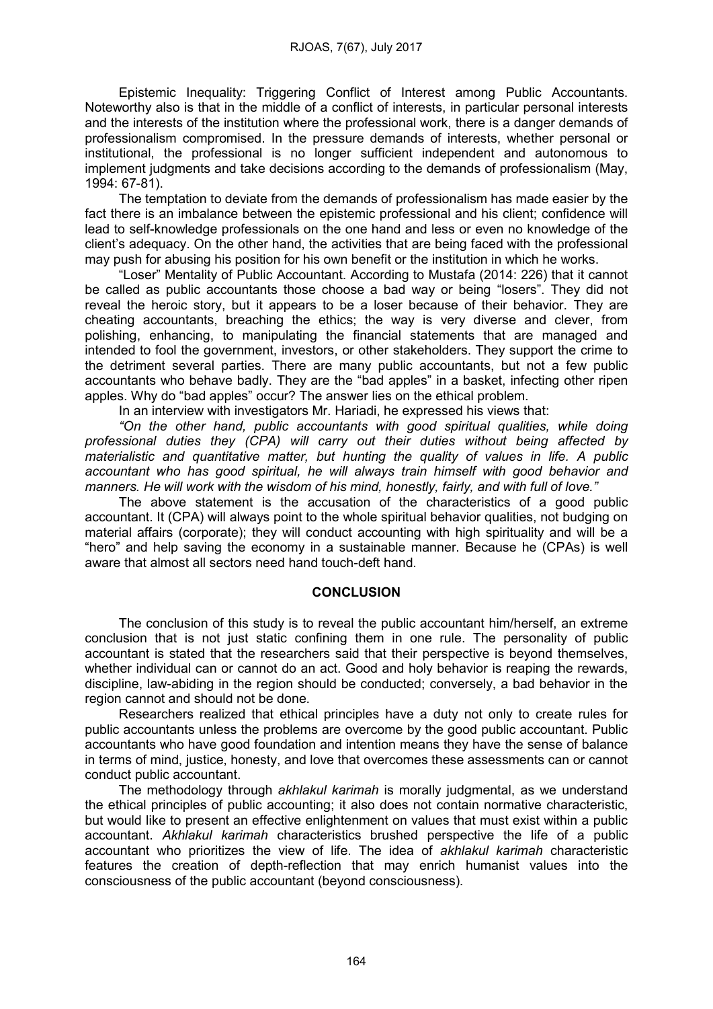Epistemic Inequality: Triggering Conflict of Interest among Public Accountants. Noteworthy also is that in the middle of a conflict of interests, in particular personal interests and the interests of the institution where the professional work, there is a danger demands of professionalism compromised. In the pressure demands of interests, whether personal or institutional, the professional is no longer sufficient independent and autonomous to implement judgments and take decisions according to the demands of professionalism (May, 1994: 67-81).

The temptation to deviate from the demands of professionalism has made easier by the fact there is an imbalance between the epistemic professional and his client; confidence will lead to self-knowledge professionals on the one hand and less or even no knowledge of the client's adequacy. On the other hand, the activities that are being faced with the professional may push for abusing his position for his own benefit or the institution in which he works.

"Loser" Mentality of Public Accountant. According to Mustafa (2014: 226) that it cannot be called as public accountants those choose a bad way or being "losers". They did not reveal the heroic story, but it appears to be a loser because of their behavior. They are cheating accountants, breaching the ethics; the way is very diverse and clever, from polishing, enhancing, to manipulating the financial statements that are managed and intended to fool the government, investors, or other stakeholders. They support the crime to the detriment several parties. There are many public accountants, but not a few public accountants who behave badly. They are the "bad apples" in a basket, infecting other ripen apples. Why do "bad apples" occur? The answer lies on the ethical problem.

In an interview with investigators Mr. Hariadi, he expressed his views that:

*"On the other hand, public accountants with good spiritual qualities, while doing professional duties they (CPA) will carry out their duties without being affected by materialistic and quantitative matter, but hunting the quality of values in life. A public accountant who has good spiritual, he will always train himself with good behavior and manners. He will work with the wisdom of his mind, honestly, fairly, and with full of love."*

The above statement is the accusation of the characteristics of a good public accountant. It (CPA) will always point to the whole spiritual behavior qualities, not budging on material affairs (corporate); they will conduct accounting with high spirituality and will be a "hero" and help saving the economy in a sustainable manner. Because he (CPAs) is well aware that almost all sectors need hand touch-deft hand.

## **CONCLUSION**

The conclusion of this study is to reveal the public accountant him/herself, an extreme conclusion that is not just static confining them in one rule. The personality of public accountant is stated that the researchers said that their perspective is beyond themselves, whether individual can or cannot do an act. Good and holy behavior is reaping the rewards, discipline, law-abiding in the region should be conducted; conversely, a bad behavior in the region cannot and should not be done.

Researchers realized that ethical principles have a duty not only to create rules for public accountants unless the problems are overcome by the good public accountant. Public accountants who have good foundation and intention means they have the sense of balance in terms of mind, justice, honesty, and love that overcomes these assessments can or cannot conduct public accountant.

The methodology through *akhlakul karimah* is morally judgmental, as we understand the ethical principles of public accounting; it also does not contain normative characteristic, but would like to present an effective enlightenment on values that must exist within a public accountant. *Akhlakul karimah* characteristics brushed perspective the life of a public accountant who prioritizes the view of life. The idea of *akhlakul karimah* characteristic features the creation of depth-reflection that may enrich humanist values into the consciousness of the public accountant (beyond consciousness)*.*